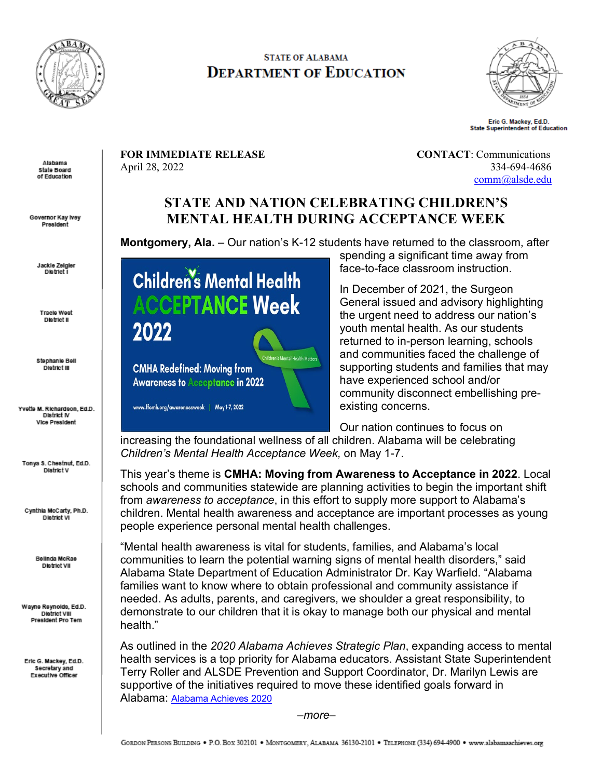

## **STATE OF ALABAMA DEPARTMENT OF EDUCATION**



Eric G. Mackey, Ed.D. **State Superintendent of Education** 

**FOR IMMEDIATE RELEASE CONTACT:** Communications April 28, 2022 334-694-4686

[comm@alsde.edu](mailto:comm@alsde.edu)

## **STATE AND NATION CELEBRATING CHILDREN'S MENTAL HEALTH DURING ACCEPTANCE WEEK**

**Montgomery, Ala.** – Our nation's K-12 students have returned to the classroom, after

Jackle Zelgier **District** I

Alabama State Board of Education

Governor Kay Ivey President

> **Tracle West** District II

Stephanie Bell District III

Yvette M. Richardson, Ed.D. **District IV Vice President** 

Tonya S. Chestnut, Ed.D. **District V** 

Cynthia McCarty, Ph.D. District VI

> Bellnda McRae District VII

Wayne Reynolds, Ed.D. **District VIII** President Pro Tem

Eric G. Mackey, Ed.D. Secretary and Executive Officer

**Children's Mental Health ACCEPTANCE Week** 2022

**CMHA Redefined: Moving from Awareness to Acceptance in 2022** 

www.ffcmh.org/awarenessweek | May 1-7, 2022

spending a significant time away from face-to-face classroom instruction.

In December of 2021, the Surgeon General issued and advisory highlighting the urgent need to address our nation's youth mental health. As our students returned to in-person learning, schools and communities faced the challenge of supporting students and families that may have experienced school and/or community disconnect embellishing preexisting concerns.

Our nation continues to focus on

increasing the foundational wellness of all children. Alabama will be celebrating *Children's Mental Health Acceptance Week,* on May 1-7.

**Children's Mental Health Matters** 

This year's theme is **CMHA: Moving from Awareness to Acceptance in 2022**. Local schools and communities statewide are planning activities to begin the important shift from *awareness to acceptance*, in this effort to supply more support to Alabama's children. Mental health awareness and acceptance are important processes as young people experience personal mental health challenges.

"Mental health awareness is vital for students, families, and Alabama's local communities to learn the potential warning signs of mental health disorders," said Alabama State Department of Education Administrator Dr. Kay Warfield. "Alabama families want to know where to obtain professional and community assistance if needed. As adults, parents, and caregivers, we shoulder a great responsibility, to demonstrate to our children that it is okay to manage both our physical and mental health."

As outlined in the *2020 Alabama Achieves Strategic Plan*, expanding access to mental health services is a top priority for Alabama educators. Assistant State Superintendent Terry Roller and ALSDE Prevention and Support Coordinator, Dr. Marilyn Lewis are supportive of the initiatives required to move these identified goals forward in Alabama: [Alabama Achieves 2020](https://www.alabamaachieves.org/wp-content/uploads/2020/12/ACHIEVES2020-V20.pdf) 

*–more–*